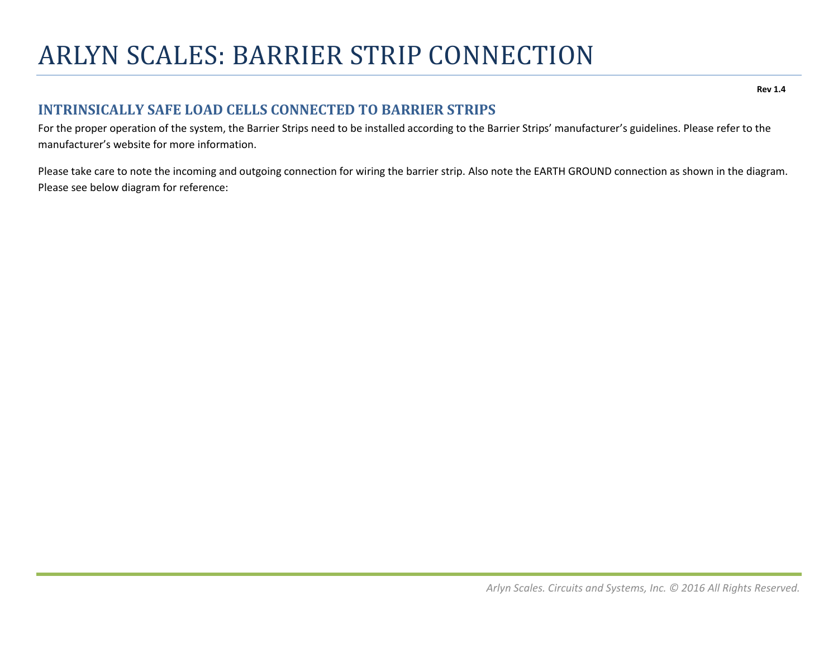## ARLYN SCALES: BARRIER STRIP CONNECTION

**Rev 1.4**

## **INTRINSICALLY SAFE LOAD CELLS CONNECTED TO BARRIER STRIPS**

For the proper operation of the system, the Barrier Strips need to be installed according to the Barrier Strips' manufacturer's guidelines. Please refer to the manufacturer's website for more information.

Please take care to note the incoming and outgoing connection for wiring the barrier strip. Also note the EARTH GROUND connection as shown in the diagram. Please see below diagram for reference: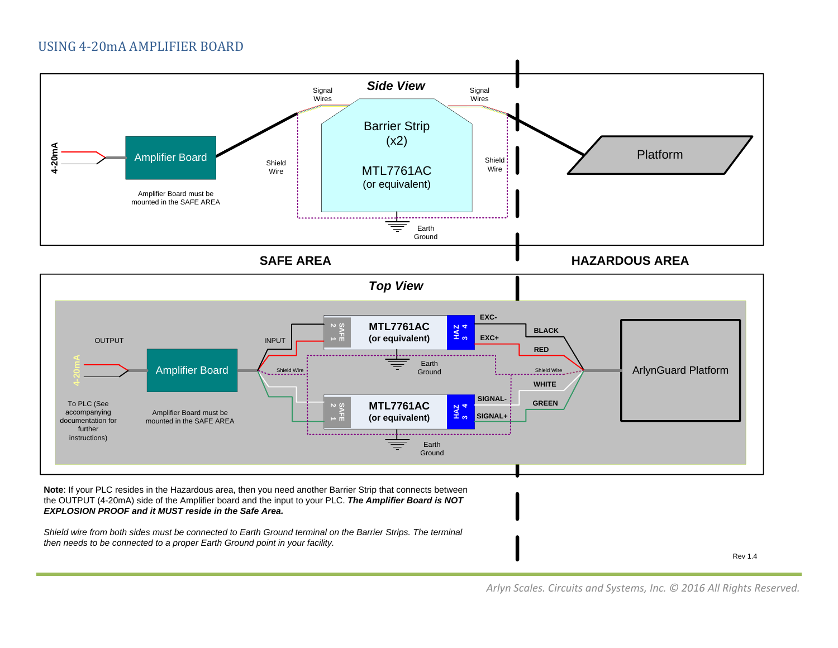

*EXPLOSION PROOF and it MUST reside in the Safe Area.*

Shield wire from both sides must be connected to Earth Ground terminal on the Barrier Strips. The terminal *then needs to be connected to <sup>a</sup> proper Earth Ground point in your facility.*

Rev 1.4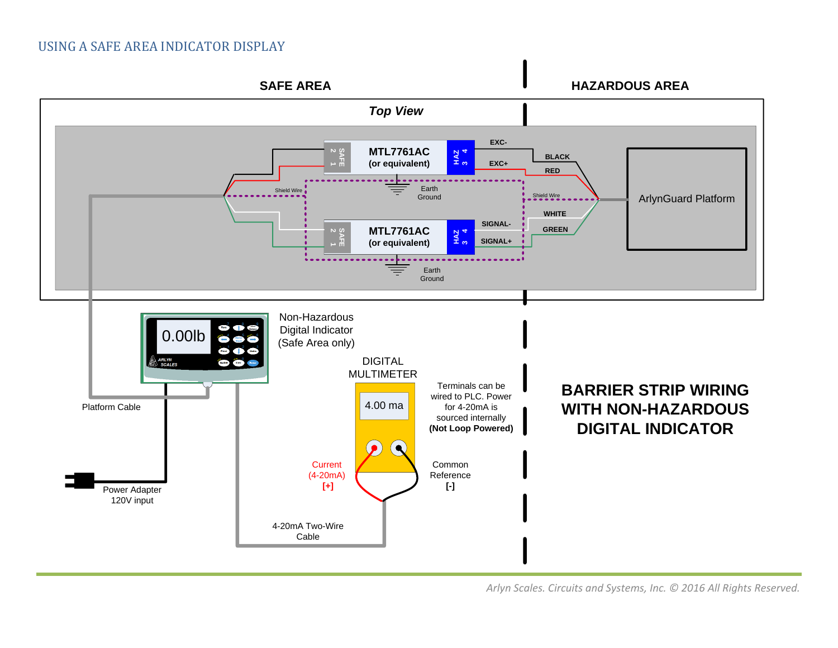## USING A SAFE AREA INDICATOR DISPLAY



*Arlyn Scales. Circuits and Systems, Inc. © 2016 All Rights Reserved.*